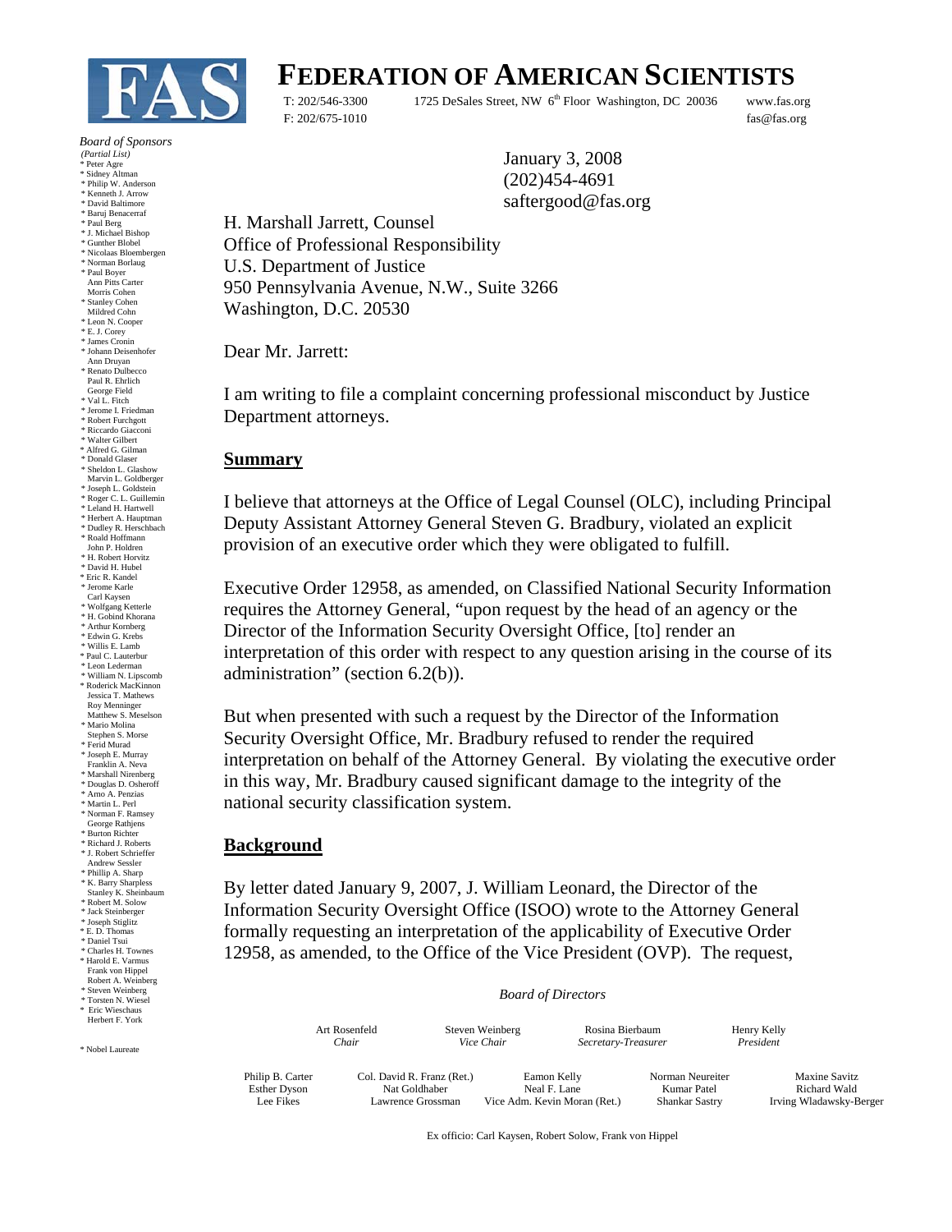

# **FEDERATION OF AMERICAN SCIENTISTS**

T: 202/546-3300 1725 DeSales Street, NW 6<sup>th</sup> Floor Washington, DC 20036 www.fas.org F: 202/675-1010 fas@fas.org

January 3, 2008 (202)454-4691 saftergood@fas.org

H. Marshall Jarrett, Counsel Office of Professional Responsibility U.S. Department of Justice 950 Pennsylvania Avenue, N.W., Suite 3266 Washington, D.C. 20530

Dear Mr. Jarrett:

I am writing to file a complaint concerning professional misconduct by Justice Department attorneys.

### **Summary**

I believe that attorneys at the Office of Legal Counsel (OLC), including Principal Deputy Assistant Attorney General Steven G. Bradbury, violated an explicit provision of an executive order which they were obligated to fulfill.

Executive Order 12958, as amended, on Classified National Security Information requires the Attorney General, "upon request by the head of an agency or the Director of the Information Security Oversight Office, [to] render an interpretation of this order with respect to any question arising in the course of its administration" (section 6.2(b)).

But when presented with such a request by the Director of the Information Security Oversight Office, Mr. Bradbury refused to render the required interpretation on behalf of the Attorney General. By violating the executive order in this way, Mr. Bradbury caused significant damage to the integrity of the national security classification system.

### **Background**

By letter dated January 9, 2007, J. William Leonard, the Director of the Information Security Oversight Office (ISOO) wrote to the Attorney General formally requesting an interpretation of the applicability of Executive Order 12958, as amended, to the Office of the Vice President (OVP). The request,

*Board of Directors*

|                                                      | Art Rosenfeld                                                    |  | Steven Weinberg                                             | Rosina Bierbaum     |                                                          | Henry Kelly                                              |
|------------------------------------------------------|------------------------------------------------------------------|--|-------------------------------------------------------------|---------------------|----------------------------------------------------------|----------------------------------------------------------|
|                                                      | Chair                                                            |  | Vice Chair                                                  | Secretary-Treasurer |                                                          | President                                                |
| Philip B. Carter<br><b>Esther Dyson</b><br>Lee Fikes | Col. David R. Franz (Ret.)<br>Nat Goldhaber<br>Lawrence Grossman |  | Eamon Kelly<br>Neal F. Lane<br>Vice Adm. Kevin Moran (Ret.) |                     | Norman Neureiter<br>Kumar Patel<br><b>Shankar Sastry</b> | Maxine Savitz<br>Richard Wald<br>Irving Wladawsky-Berger |

Ex officio: Carl Kaysen, Robert Solow, Frank von Hippel

 *Board of Sponsors* 

*(Partial List)* 

Peter Agre

- \* Sidney Altman \* Philip W. Anderson
- \* Kenneth J. Arrow \* David Baltimore
- \* Baruj Benacerraf
- \* Paul Berg \* J. Michael Bishop
- \* Gunther Blobel
- \* Nicolaas Bloembergen \* Norman Borlaug
- \* Paul Boyer
- Ann Pitts Carter Morris Cohen
- \* Stanley Cohen
- Mildred Cohn
- \* Leon N. Cooper
- \* E. J. Corey \* James Cronin
- \* Johann Deisenhofer
- Ann Druyan \* Renato Dulbecco
- Paul R. Ehrlich George Field
- \* Val L. Fitch
- \* Jerome I. Friedman
- \* Robert Furchgott \* Riccardo Giacconi
- \* Walter Gilbert
- \* Alfred G. Gilman \* Donald Glaser
- \* Sheldon L. Glashow
- Marvin L. Goldberger
- \* Joseph L. Goldstein
- \* Roger C. L. Guillemin \* Leland H. Hartwell
- \* Herbert A. Hauptman
- \* Dudley R. Herschbach
- \* Roald Hoffmann
- John P. Holdren \* H. Robert Horvitz
- \* David H. Hubel
- \* Eric R. Kandel
- \* Jerome Karle Carl Kaysen
- 
- \* Wolfgang Ketterle \* H. Gobind Khorana
- \* Arthur Kornberg \* Edwin G. Krebs
- \* Willis E. Lamb \* Paul C. Lauterbur
- \* Leon Lederman
- \* William N. Lipscomb \* Roderick MacKinnon Jessica T. Mathews
- Roy Menninger Matthew S. Meselson
- \* Mario Molina
- Stephen S. Morse \* Ferid Murad
- 
- \* Joseph E. Murray Franklin A. Neva
- \* Marshall Nirenberg \* Douglas D. Osheroff
- \* Arno A. Penzias
- $\hspace{0.1mm}^*$  Martin L. Perl
- \* Norman F. Ramsey George Rathjens
- 
- \* Burton Richter \* Richard J. Roberts \* J. Robert Schrieffer
- Andrew Sessler
- \* Phillip A. Sharp
- \* K. Barry Sharpless Stanley K. Sheinbaum
- \* Robert M. Solow
- \* Jack Steinberger
- \* Joseph Stiglitz \* E. D. Thomas
	- \* Daniel Tsui
	- \* Charles H. Townes \* Harold E. Varmus
	- Frank von Hippel Robert A. Weinberg
	- \* Steven Weinberg \* Torsten N. Wiesel
	- Eric Wieschaus Herbert F. York

\* Nobel Laureate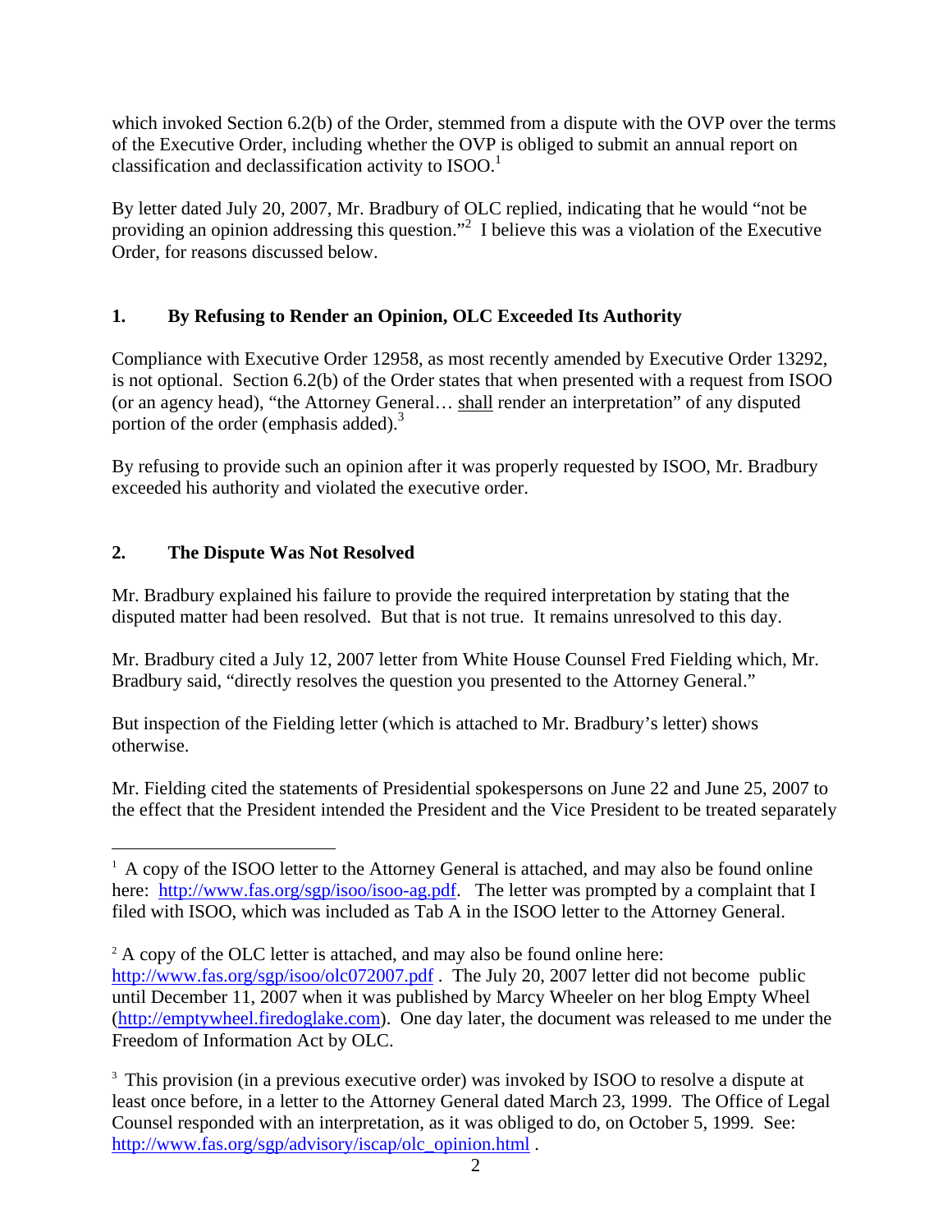which invoked Section 6.2(b) of the Order, stemmed from a dispute with the OVP over the terms of the Executive Order, including whether the OVP is obliged to submit an annual report on classification and declassification activity to  $ISOO<sup>1</sup>$ .

By letter dated July 20, 2007, Mr. Bradbury of OLC replied, indicating that he would "not be providing an opinion addressing this question."<sup>2</sup> I believe this was a violation of the Executive Order, for reasons discussed below.

# **1. By Refusing to Render an Opinion, OLC Exceeded Its Authority**

Compliance with Executive Order 12958, as most recently amended by Executive Order 13292, is not optional. Section 6.2(b) of the Order states that when presented with a request from ISOO (or an agency head), "the Attorney General… shall render an interpretation" of any disputed portion of the order (emphasis added).<sup>3</sup>

By refusing to provide such an opinion after it was properly requested by ISOO, Mr. Bradbury exceeded his authority and violated the executive order.

# **2. The Dispute Was Not Resolved**

Mr. Bradbury explained his failure to provide the required interpretation by stating that the disputed matter had been resolved. But that is not true. It remains unresolved to this day.

Mr. Bradbury cited a July 12, 2007 letter from White House Counsel Fred Fielding which, Mr. Bradbury said, "directly resolves the question you presented to the Attorney General."

But inspection of the Fielding letter (which is attached to Mr. Bradbury's letter) shows otherwise.

Mr. Fielding cited the statements of Presidential spokespersons on June 22 and June 25, 2007 to the effect that the President intended the President and the Vice President to be treated separately

 $\overline{a}$ <sup>1</sup> A copy of the ISOO letter to the Attorney General is attached, and may also be found online here: http://www.fas.org/sgp/isoo/isoo-ag.pdf. The letter was prompted by a complaint that I filed with ISOO, which was included as Tab A in the ISOO letter to the Attorney General.

 $2^2$  A copy of the OLC letter is attached, and may also be found online here: http://www.fas.org/sgp/isoo/olc072007.pdf. The July 20, 2007 letter did not become public until December 11, 2007 when it was published by Marcy Wheeler on her blog Empty Wheel (http://emptywheel.firedoglake.com). One day later, the document was released to me under the Freedom of Information Act by OLC.

<sup>&</sup>lt;sup>3</sup> This provision (in a previous executive order) was invoked by ISOO to resolve a dispute at least once before, in a letter to the Attorney General dated March 23, 1999. The Office of Legal Counsel responded with an interpretation, as it was obliged to do, on October 5, 1999. See: http://www.fas.org/sgp/advisory/iscap/olc\_opinion.html .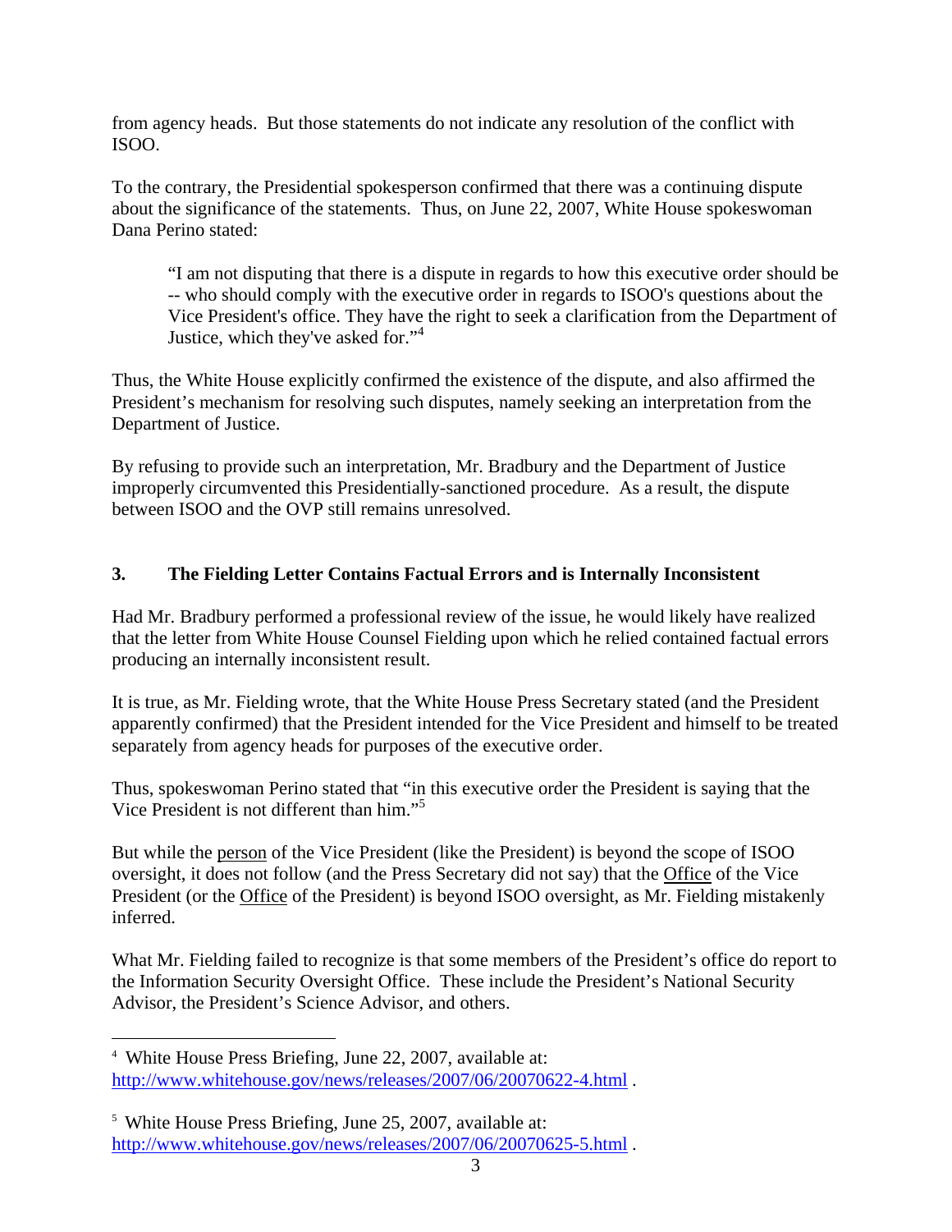from agency heads. But those statements do not indicate any resolution of the conflict with ISOO.

To the contrary, the Presidential spokesperson confirmed that there was a continuing dispute about the significance of the statements. Thus, on June 22, 2007, White House spokeswoman Dana Perino stated:

"I am not disputing that there is a dispute in regards to how this executive order should be -- who should comply with the executive order in regards to ISOO's questions about the Vice President's office. They have the right to seek a clarification from the Department of Justice, which they've asked for."<sup>4</sup>

Thus, the White House explicitly confirmed the existence of the dispute, and also affirmed the President's mechanism for resolving such disputes, namely seeking an interpretation from the Department of Justice.

By refusing to provide such an interpretation, Mr. Bradbury and the Department of Justice improperly circumvented this Presidentially-sanctioned procedure. As a result, the dispute between ISOO and the OVP still remains unresolved.

## **3. The Fielding Letter Contains Factual Errors and is Internally Inconsistent**

Had Mr. Bradbury performed a professional review of the issue, he would likely have realized that the letter from White House Counsel Fielding upon which he relied contained factual errors producing an internally inconsistent result.

It is true, as Mr. Fielding wrote, that the White House Press Secretary stated (and the President apparently confirmed) that the President intended for the Vice President and himself to be treated separately from agency heads for purposes of the executive order.

Thus, spokeswoman Perino stated that "in this executive order the President is saying that the Vice President is not different than him."5

But while the person of the Vice President (like the President) is beyond the scope of ISOO oversight, it does not follow (and the Press Secretary did not say) that the Office of the Vice President (or the Office of the President) is beyond ISOO oversight, as Mr. Fielding mistakenly inferred.

What Mr. Fielding failed to recognize is that some members of the President's office do report to the Information Security Oversight Office. These include the President's National Security Advisor, the President's Science Advisor, and others.

 $\overline{a}$ 4 White House Press Briefing, June 22, 2007, available at: http://www.whitehouse.gov/news/releases/2007/06/20070622-4.html .

<sup>5</sup> White House Press Briefing, June 25, 2007, available at: http://www.whitehouse.gov/news/releases/2007/06/20070625-5.html .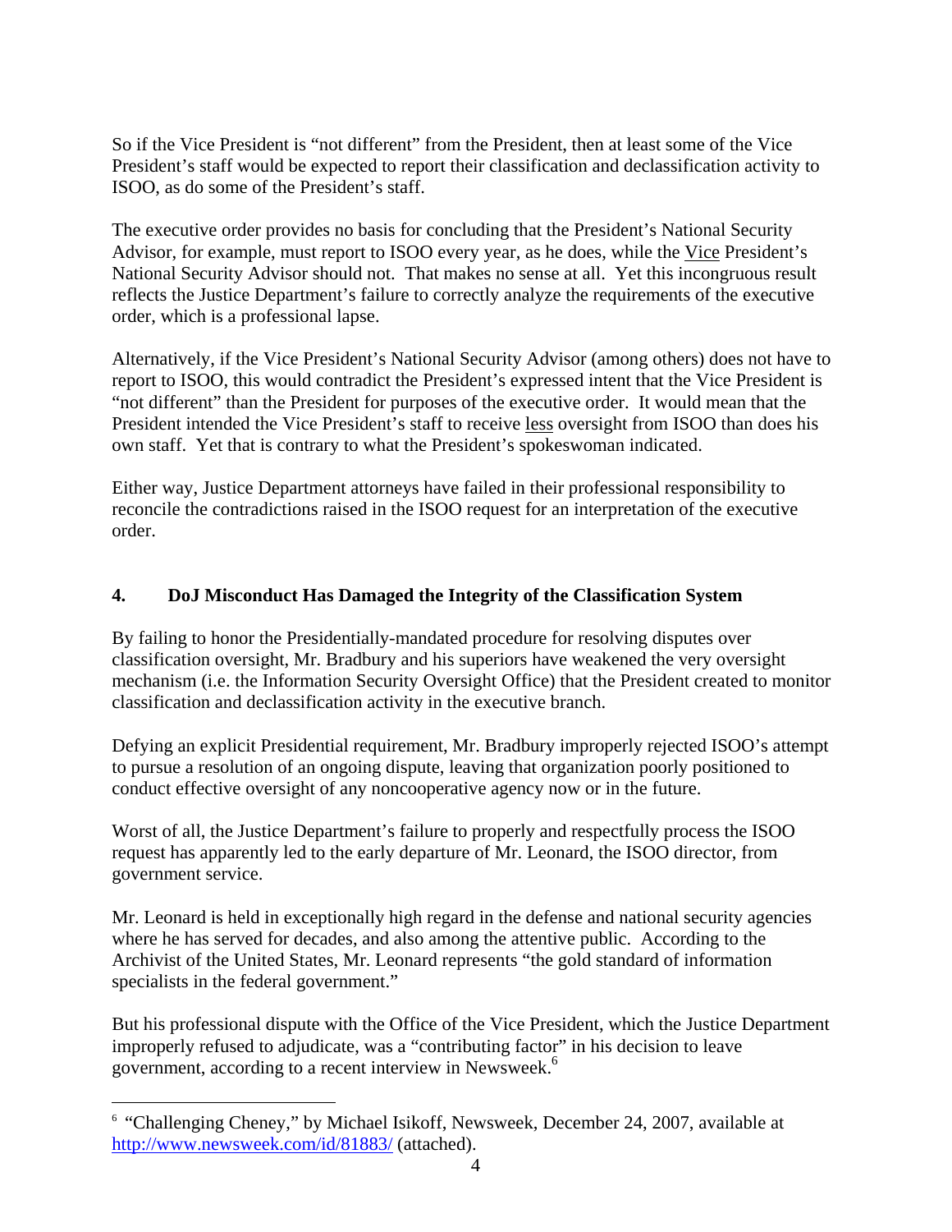So if the Vice President is "not different" from the President, then at least some of the Vice President's staff would be expected to report their classification and declassification activity to ISOO, as do some of the President's staff.

The executive order provides no basis for concluding that the President's National Security Advisor, for example, must report to ISOO every year, as he does, while the Vice President's National Security Advisor should not. That makes no sense at all. Yet this incongruous result reflects the Justice Department's failure to correctly analyze the requirements of the executive order, which is a professional lapse.

Alternatively, if the Vice President's National Security Advisor (among others) does not have to report to ISOO, this would contradict the President's expressed intent that the Vice President is "not different" than the President for purposes of the executive order. It would mean that the President intended the Vice President's staff to receive less oversight from ISOO than does his own staff. Yet that is contrary to what the President's spokeswoman indicated.

Either way, Justice Department attorneys have failed in their professional responsibility to reconcile the contradictions raised in the ISOO request for an interpretation of the executive order.

# **4. DoJ Misconduct Has Damaged the Integrity of the Classification System**

By failing to honor the Presidentially-mandated procedure for resolving disputes over classification oversight, Mr. Bradbury and his superiors have weakened the very oversight mechanism (i.e. the Information Security Oversight Office) that the President created to monitor classification and declassification activity in the executive branch.

Defying an explicit Presidential requirement, Mr. Bradbury improperly rejected ISOO's attempt to pursue a resolution of an ongoing dispute, leaving that organization poorly positioned to conduct effective oversight of any noncooperative agency now or in the future.

Worst of all, the Justice Department's failure to properly and respectfully process the ISOO request has apparently led to the early departure of Mr. Leonard, the ISOO director, from government service.

Mr. Leonard is held in exceptionally high regard in the defense and national security agencies where he has served for decades, and also among the attentive public. According to the Archivist of the United States, Mr. Leonard represents "the gold standard of information specialists in the federal government."

But his professional dispute with the Office of the Vice President, which the Justice Department improperly refused to adjudicate, was a "contributing factor" in his decision to leave government, according to a recent interview in Newsweek.<sup>6</sup>

 $\overline{a}$ 

<sup>&</sup>lt;sup>6</sup> "Challenging Cheney," by Michael Isikoff, Newsweek, December 24, 2007, available at http://www.newsweek.com/id/81883/ (attached).